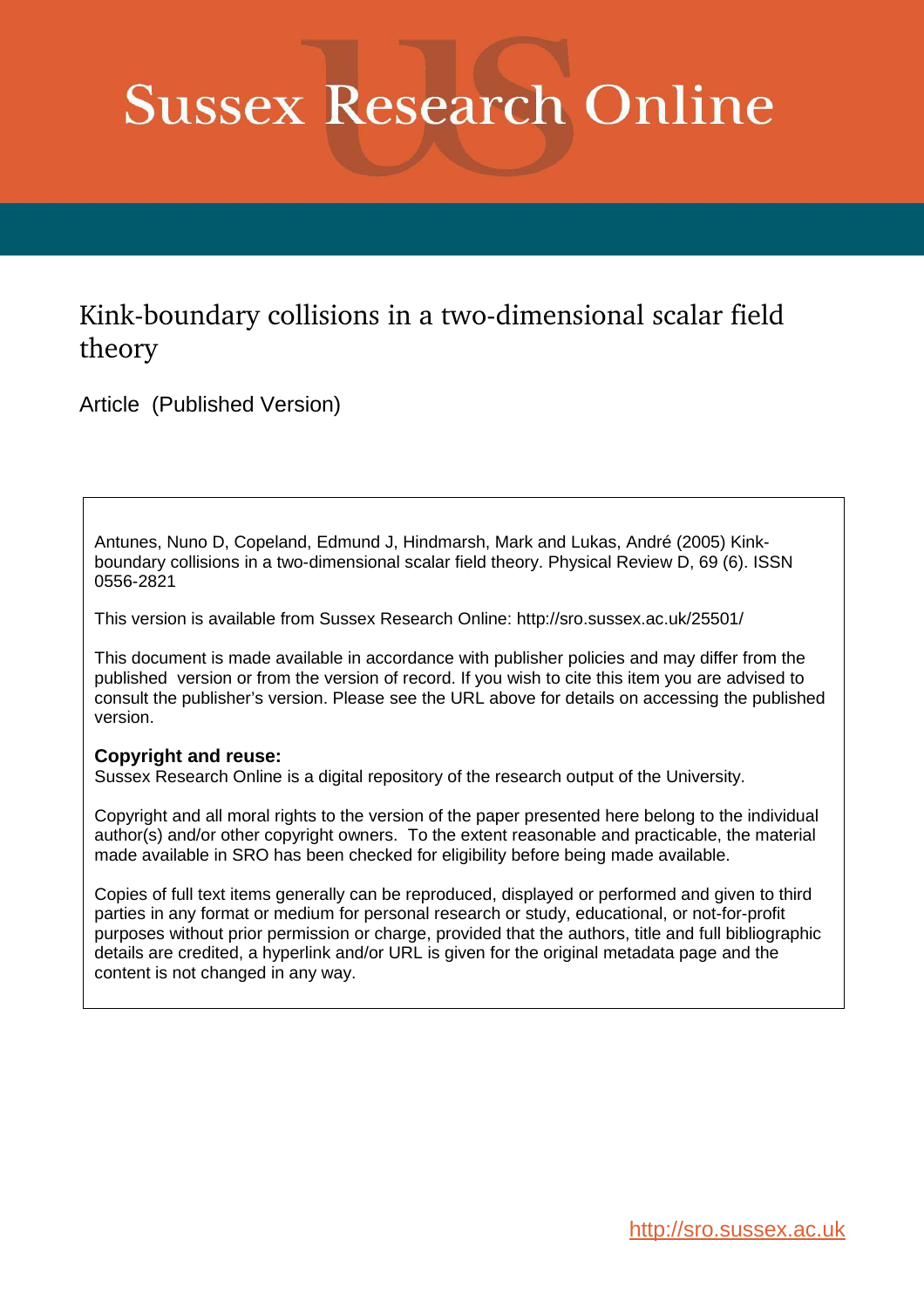# **Sussex Research Online**

## Kink-boundary collisions in a two-dimensional scalar field theory

Article (Published Version)

Antunes, Nuno D, Copeland, Edmund J, Hindmarsh, Mark and Lukas, André (2005) Kinkboundary collisions in a two-dimensional scalar field theory. Physical Review D, 69 (6). ISSN 0556-2821

This version is available from Sussex Research Online: http://sro.sussex.ac.uk/25501/

This document is made available in accordance with publisher policies and may differ from the published version or from the version of record. If you wish to cite this item you are advised to consult the publisher's version. Please see the URL above for details on accessing the published version.

### **Copyright and reuse:**

Sussex Research Online is a digital repository of the research output of the University.

Copyright and all moral rights to the version of the paper presented here belong to the individual author(s) and/or other copyright owners. To the extent reasonable and practicable, the material made available in SRO has been checked for eligibility before being made available.

Copies of full text items generally can be reproduced, displayed or performed and given to third parties in any format or medium for personal research or study, educational, or not-for-profit purposes without prior permission or charge, provided that the authors, title and full bibliographic details are credited, a hyperlink and/or URL is given for the original metadata page and the content is not changed in any way.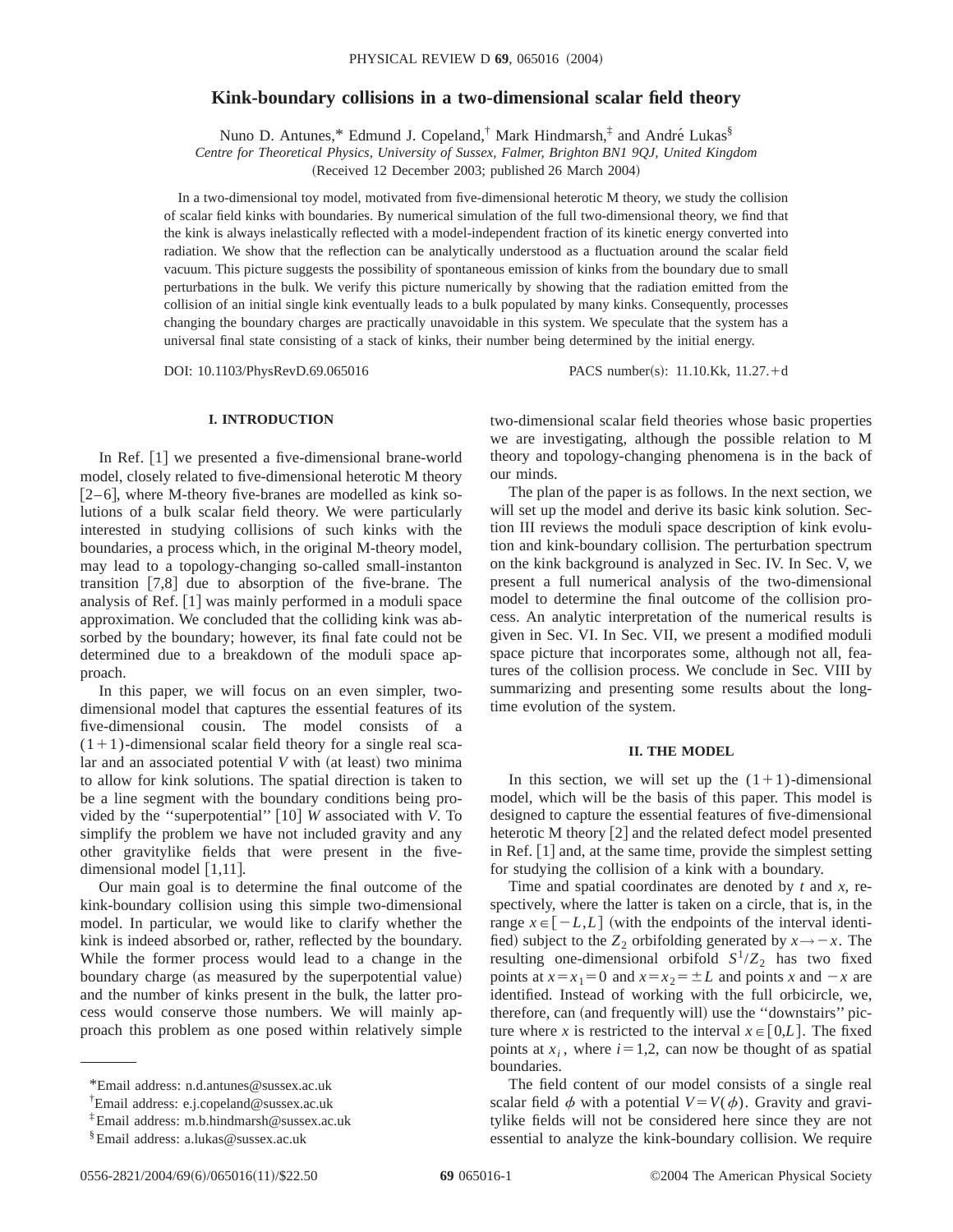#### **Kink-boundary collisions in a two-dimensional scalar field theory**

Nuno D. Antunes,\* Edmund J. Copeland,<sup>†</sup> Mark Hindmarsh,<sup>‡</sup> and André Lukas<sup>§</sup>

*Centre for Theoretical Physics, University of Sussex, Falmer, Brighton BN1 9QJ, United Kingdom*

(Received 12 December 2003; published 26 March 2004)

In a two-dimensional toy model, motivated from five-dimensional heterotic M theory, we study the collision of scalar field kinks with boundaries. By numerical simulation of the full two-dimensional theory, we find that the kink is always inelastically reflected with a model-independent fraction of its kinetic energy converted into radiation. We show that the reflection can be analytically understood as a fluctuation around the scalar field vacuum. This picture suggests the possibility of spontaneous emission of kinks from the boundary due to small perturbations in the bulk. We verify this picture numerically by showing that the radiation emitted from the collision of an initial single kink eventually leads to a bulk populated by many kinks. Consequently, processes changing the boundary charges are practically unavoidable in this system. We speculate that the system has a universal final state consisting of a stack of kinks, their number being determined by the initial energy.

DOI: 10.1103/PhysRevD.69.065016 PACS number(s): 11.10.Kk, 11.27.+d

#### **I. INTRODUCTION**

In Ref.  $[1]$  we presented a five-dimensional brane-world model, closely related to five-dimensional heterotic M theory  $[2-6]$ , where M-theory five-branes are modelled as kink solutions of a bulk scalar field theory. We were particularly interested in studying collisions of such kinks with the boundaries, a process which, in the original M-theory model, may lead to a topology-changing so-called small-instanton transition  $[7,8]$  due to absorption of the five-brane. The analysis of Ref.  $[1]$  was mainly performed in a moduli space approximation. We concluded that the colliding kink was absorbed by the boundary; however, its final fate could not be determined due to a breakdown of the moduli space approach.

In this paper, we will focus on an even simpler, twodimensional model that captures the essential features of its five-dimensional cousin. The model consists of a  $(1+1)$ -dimensional scalar field theory for a single real scalar and an associated potential *V* with (at least) two minima to allow for kink solutions. The spatial direction is taken to be a line segment with the boundary conditions being provided by the "superpotential"  $\lceil 10 \rceil$  *W* associated with *V*. To simplify the problem we have not included gravity and any other gravitylike fields that were present in the fivedimensional model  $[1,11]$ .

Our main goal is to determine the final outcome of the kink-boundary collision using this simple two-dimensional model. In particular, we would like to clarify whether the kink is indeed absorbed or, rather, reflected by the boundary. While the former process would lead to a change in the boundary charge (as measured by the superpotential value) and the number of kinks present in the bulk, the latter process would conserve those numbers. We will mainly approach this problem as one posed within relatively simple

two-dimensional scalar field theories whose basic properties we are investigating, although the possible relation to M theory and topology-changing phenomena is in the back of our minds.

The plan of the paper is as follows. In the next section, we will set up the model and derive its basic kink solution. Section III reviews the moduli space description of kink evolution and kink-boundary collision. The perturbation spectrum on the kink background is analyzed in Sec. IV. In Sec. V, we present a full numerical analysis of the two-dimensional model to determine the final outcome of the collision process. An analytic interpretation of the numerical results is given in Sec. VI. In Sec. VII, we present a modified moduli space picture that incorporates some, although not all, features of the collision process. We conclude in Sec. VIII by summarizing and presenting some results about the longtime evolution of the system.

#### **II. THE MODEL**

In this section, we will set up the  $(1+1)$ -dimensional model, which will be the basis of this paper. This model is designed to capture the essential features of five-dimensional heterotic M theory  $\lceil 2 \rceil$  and the related defect model presented in Ref.  $[1]$  and, at the same time, provide the simplest setting for studying the collision of a kink with a boundary.

Time and spatial coordinates are denoted by *t* and *x*, respectively, where the latter is taken on a circle, that is, in the range  $x \in [-L, L]$  (with the endpoints of the interval identified) subject to the  $Z_2$  orbifolding generated by  $x \rightarrow -x$ . The resulting one-dimensional orbifold  $S^1/Z_2$  has two fixed points at  $x=x_1=0$  and  $x=x_2=\pm L$  and points *x* and  $-x$  are identified. Instead of working with the full orbicircle, we, therefore, can (and frequently will) use the "downstairs" picture where *x* is restricted to the interval  $x \in [0,L]$ . The fixed points at  $x_i$ , where  $i=1,2$ , can now be thought of as spatial boundaries.

The field content of our model consists of a single real scalar field  $\phi$  with a potential  $V=V(\phi)$ . Gravity and gravitylike fields will not be considered here since they are not essential to analyze the kink-boundary collision. We require

<sup>\*</sup>Email address: n.d.antunes@sussex.ac.uk

<sup>†</sup>Email address: e.j.copeland@sussex.ac.uk

<sup>‡</sup>Email address: m.b.hindmarsh@sussex.ac.uk

<sup>§</sup>Email address: a.lukas@sussex.ac.uk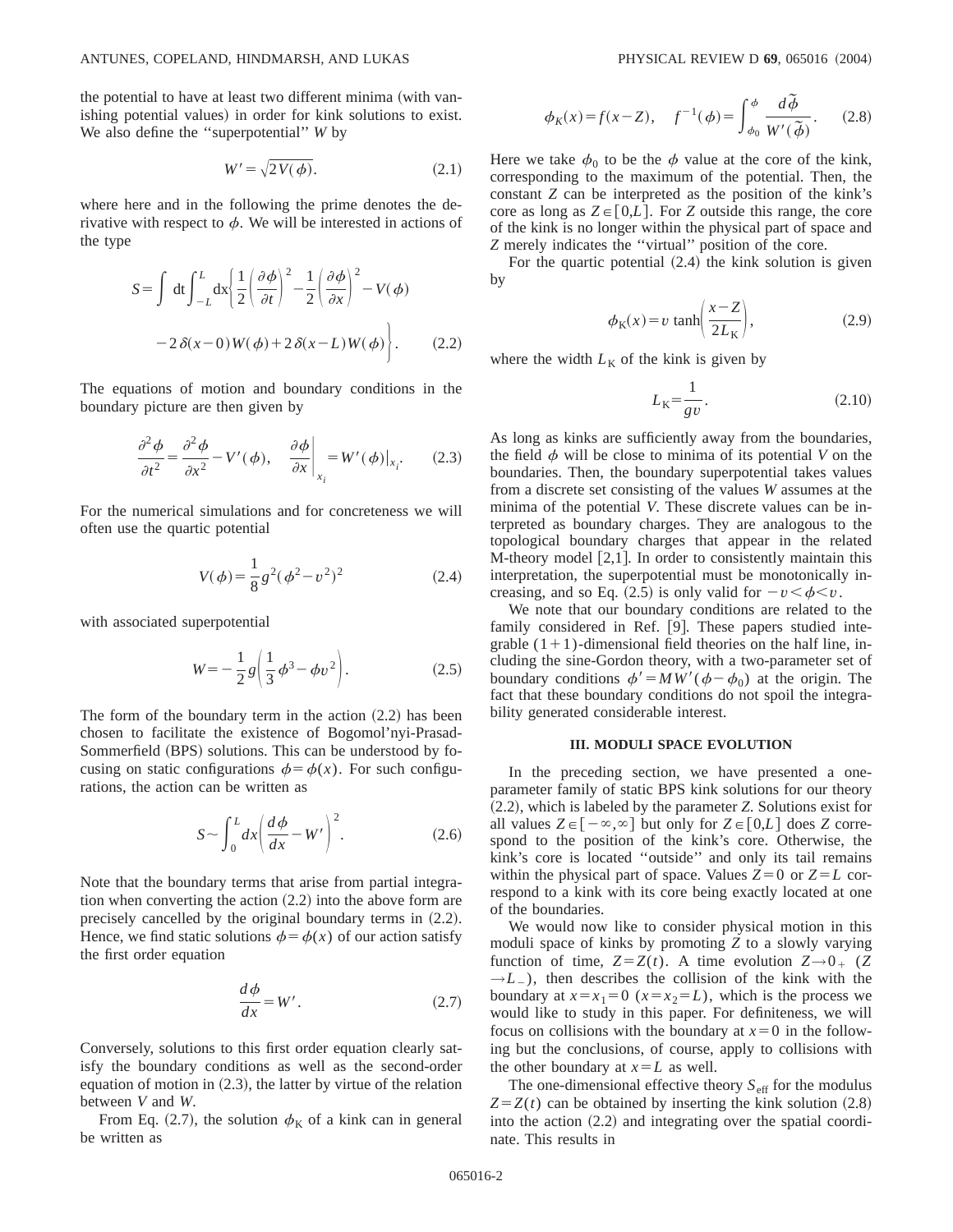the potential to have at least two different minima (with vanishing potential values) in order for kink solutions to exist. We also define the ''superpotential'' *W* by

$$
W' = \sqrt{2V(\phi)}.
$$
 (2.1)

where here and in the following the prime denotes the derivative with respect to  $\phi$ . We will be interested in actions of the type

$$
S = \int dt \int_{-L}^{L} dx \left\{ \frac{1}{2} \left( \frac{\partial \phi}{\partial t} \right)^2 - \frac{1}{2} \left( \frac{\partial \phi}{\partial x} \right)^2 - V(\phi) \right\}
$$

$$
- 2 \delta(x - 0) W(\phi) + 2 \delta(x - L) W(\phi) \left\}.
$$
(2.2)

The equations of motion and boundary conditions in the boundary picture are then given by

$$
\frac{\partial^2 \phi}{\partial t^2} = \frac{\partial^2 \phi}{\partial x^2} - V'(\phi), \quad \frac{\partial \phi}{\partial x}\bigg|_{x_i} = W'(\phi)|_{x_i}.
$$
 (2.3)

For the numerical simulations and for concreteness we will often use the quartic potential

$$
V(\phi) = \frac{1}{8}g^2(\phi^2 - v^2)^2
$$
 (2.4)

with associated superpotential

$$
W = -\frac{1}{2}g\left(\frac{1}{3}\phi^3 - \phi v^2\right).
$$
 (2.5)

The form of the boundary term in the action  $(2.2)$  has been chosen to facilitate the existence of Bogomol'nyi-Prasad-Sommerfield (BPS) solutions. This can be understood by focusing on static configurations  $\phi = \phi(x)$ . For such configurations, the action can be written as

$$
S \sim \int_0^L dx \left(\frac{d\phi}{dx} - W'\right)^2.
$$
 (2.6)

Note that the boundary terms that arise from partial integration when converting the action  $(2.2)$  into the above form are precisely cancelled by the original boundary terms in  $(2.2)$ . Hence, we find static solutions  $\phi = \phi(x)$  of our action satisfy the first order equation

$$
\frac{d\phi}{dx} = W'.\tag{2.7}
$$

Conversely, solutions to this first order equation clearly satisfy the boundary conditions as well as the second-order equation of motion in  $(2.3)$ , the latter by virtue of the relation between *V* and *W*.

From Eq. (2.7), the solution  $\phi_K$  of a kink can in general be written as

$$
\phi_K(x) = f(x - Z), \quad f^{-1}(\phi) = \int_{\phi_0}^{\phi} \frac{d\tilde{\phi}}{W'(\tilde{\phi})}. \quad (2.8)
$$

Here we take  $\phi_0$  to be the  $\phi$  value at the core of the kink, corresponding to the maximum of the potential. Then, the constant *Z* can be interpreted as the position of the kink's core as long as  $Z \in [0, L]$ . For *Z* outside this range, the core of the kink is no longer within the physical part of space and *Z* merely indicates the ''virtual'' position of the core.

For the quartic potential  $(2.4)$  the kink solution is given by

$$
\phi_{\mathcal{K}}(x) = v \tanh\left(\frac{x - Z}{2L_{\mathcal{K}}}\right),\tag{2.9}
$$

where the width  $L_K$  of the kink is given by

$$
L_{\rm K} = \frac{1}{gv}.\tag{2.10}
$$

As long as kinks are sufficiently away from the boundaries, the field  $\phi$  will be close to minima of its potential *V* on the boundaries. Then, the boundary superpotential takes values from a discrete set consisting of the values *W* assumes at the minima of the potential *V*. These discrete values can be interpreted as boundary charges. They are analogous to the topological boundary charges that appear in the related M-theory model  $[2,1]$ . In order to consistently maintain this interpretation, the superpotential must be monotonically increasing, and so Eq.  $(2.5)$  is only valid for  $-v < \phi < v$ .

We note that our boundary conditions are related to the family considered in Ref. [9]. These papers studied integrable  $(1+1)$ -dimensional field theories on the half line, including the sine-Gordon theory, with a two-parameter set of boundary conditions  $\phi' = M W'(\phi - \phi_0)$  at the origin. The fact that these boundary conditions do not spoil the integrability generated considerable interest.

#### **III. MODULI SPACE EVOLUTION**

In the preceding section, we have presented a oneparameter family of static BPS kink solutions for our theory ~2.2!, which is labeled by the parameter *Z*. Solutions exist for all values  $Z \in [-\infty, \infty]$  but only for  $Z \in [0, L]$  does *Z* correspond to the position of the kink's core. Otherwise, the kink's core is located ''outside'' and only its tail remains within the physical part of space. Values  $Z=0$  or  $Z=L$  correspond to a kink with its core being exactly located at one of the boundaries.

We would now like to consider physical motion in this moduli space of kinks by promoting *Z* to a slowly varying function of time,  $Z = Z(t)$ . A time evolution  $Z \rightarrow 0^+$  (*Z*  $\rightarrow$ *L*<sub>-</sub>), then describes the collision of the kink with the boundary at  $x=x_1=0$  ( $x=x_2=L$ ), which is the process we would like to study in this paper. For definiteness, we will focus on collisions with the boundary at  $x=0$  in the following but the conclusions, of course, apply to collisions with the other boundary at  $x=L$  as well.

The one-dimensional effective theory  $S_{\text{eff}}$  for the modulus  $Z = Z(t)$  can be obtained by inserting the kink solution  $(2.8)$ into the action  $(2.2)$  and integrating over the spatial coordinate. This results in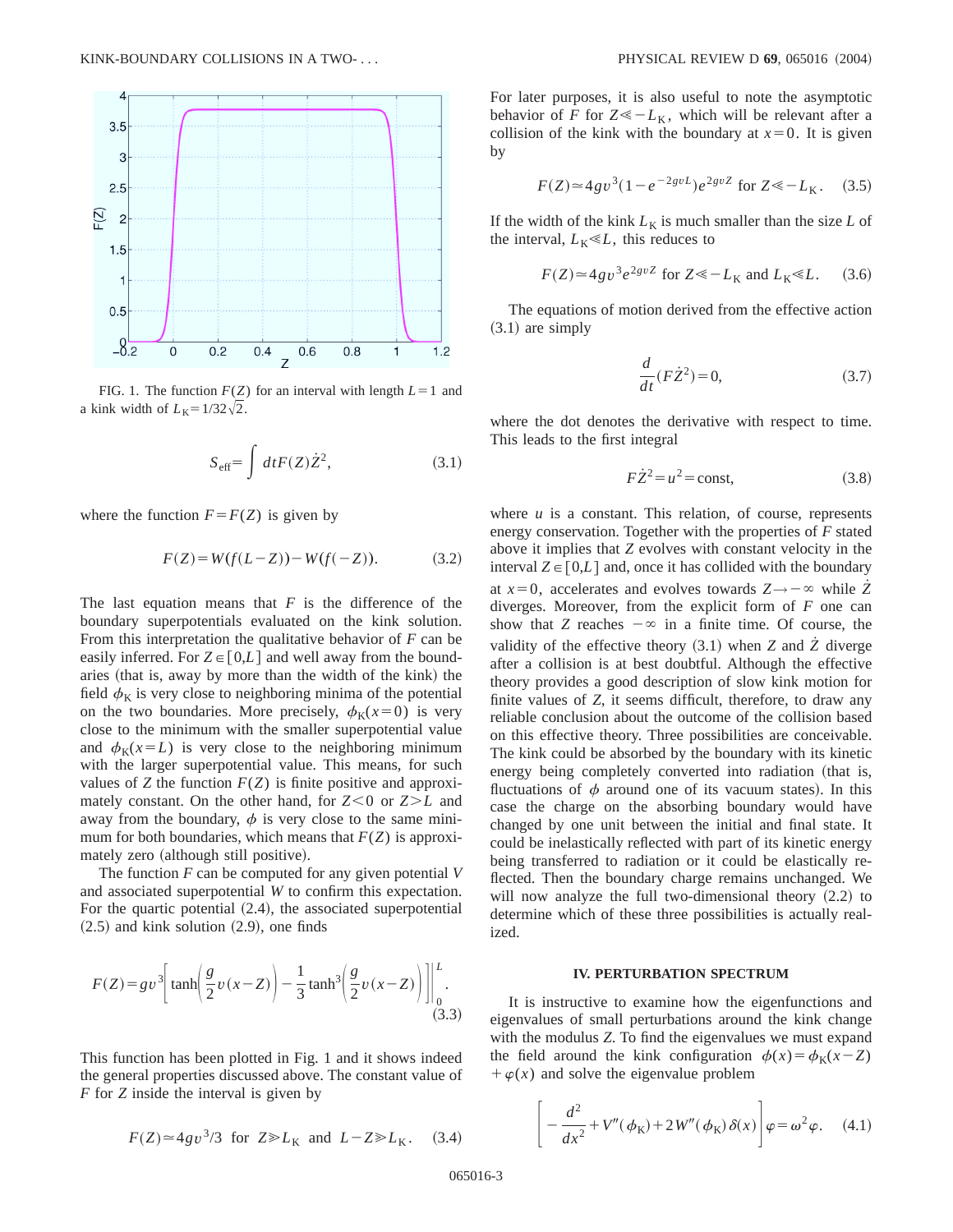

FIG. 1. The function  $F(Z)$  for an interval with length  $L=1$  and a kink width of  $L_K = 1/32\sqrt{2}$ .

$$
S_{\text{eff}} = \int dt F(Z) \dot{Z}^2, \tag{3.1}
$$

where the function  $F = F(Z)$  is given by

$$
F(Z) = W(f(L - Z)) - W(f(-Z)).
$$
 (3.2)

The last equation means that *F* is the difference of the boundary superpotentials evaluated on the kink solution. From this interpretation the qualitative behavior of *F* can be easily inferred. For  $Z \in [0,L]$  and well away from the boundaries (that is, away by more than the width of the kink) the field  $\phi_K$  is very close to neighboring minima of the potential on the two boundaries. More precisely,  $\phi_K(x=0)$  is very close to the minimum with the smaller superpotential value and  $\phi_K(x=L)$  is very close to the neighboring minimum with the larger superpotential value. This means, for such values of *Z* the function  $F(Z)$  is finite positive and approximately constant. On the other hand, for  $Z \leq 0$  or  $Z \geq L$  and away from the boundary,  $\phi$  is very close to the same minimum for both boundaries, which means that  $F(Z)$  is approximately zero (although still positive).

The function *F* can be computed for any given potential *V* and associated superpotential *W* to confirm this expectation. For the quartic potential  $(2.4)$ , the associated superpotential  $(2.5)$  and kink solution  $(2.9)$ , one finds

$$
F(Z) = gv3 \left[ \tanh\left(\frac{g}{2}v(x-Z)\right) - \frac{1}{3}\tanh^3\left(\frac{g}{2}v(x-Z)\right) \right] \Big|_{0}^{L}.
$$
\n(3.3)

This function has been plotted in Fig. 1 and it shows indeed the general properties discussed above. The constant value of *F* for *Z* inside the interval is given by

$$
F(Z) \approx 4gv^3/3
$$
 for  $Z \gg L_K$  and  $L - Z \gg L_K$ . (3.4)

For later purposes, it is also useful to note the asymptotic behavior of *F* for  $Z \ll -L_K$ , which will be relevant after a collision of the kink with the boundary at  $x=0$ . It is given by

$$
F(Z) \approx 4gv^3(1 - e^{-2gvL})e^{2gvZ} \text{ for } Z \ll -L_K. \quad (3.5)
$$

If the width of the kink  $L_K$  is much smaller than the size  $L$  of the interval,  $L_K \ll L$ , this reduces to

$$
F(Z) \approx 4 g v^3 e^{2 g v Z} \text{ for } Z \ll -L_K \text{ and } L_K \ll L. \tag{3.6}
$$

The equations of motion derived from the effective action  $(3.1)$  are simply

$$
\frac{d}{dt}(F\ddot{Z}^2) = 0,\t(3.7)
$$

where the dot denotes the derivative with respect to time. This leads to the first integral

$$
F\dot{Z}^2 = u^2 = \text{const},\tag{3.8}
$$

where  $u$  is a constant. This relation, of course, represents energy conservation. Together with the properties of *F* stated above it implies that *Z* evolves with constant velocity in the interval  $Z \in [0,L]$  and, once it has collided with the boundary at  $x=0$ , accelerates and evolves towards  $Z \rightarrow -\infty$  while  $\dot{Z}$ diverges. Moreover, from the explicit form of *F* one can show that *Z* reaches  $-\infty$  in a finite time. Of course, the validity of the effective theory  $(3.1)$  when *Z* and  $\dot{Z}$  diverge after a collision is at best doubtful. Although the effective theory provides a good description of slow kink motion for finite values of *Z*, it seems difficult, therefore, to draw any reliable conclusion about the outcome of the collision based on this effective theory. Three possibilities are conceivable. The kink could be absorbed by the boundary with its kinetic energy being completely converted into radiation (that is, fluctuations of  $\phi$  around one of its vacuum states). In this case the charge on the absorbing boundary would have changed by one unit between the initial and final state. It could be inelastically reflected with part of its kinetic energy being transferred to radiation or it could be elastically reflected. Then the boundary charge remains unchanged. We will now analyze the full two-dimensional theory  $(2.2)$  to determine which of these three possibilities is actually realized.

#### **IV. PERTURBATION SPECTRUM**

It is instructive to examine how the eigenfunctions and eigenvalues of small perturbations around the kink change with the modulus *Z*. To find the eigenvalues we must expand the field around the kink configuration  $\phi(x) = \phi_K(x - Z)$  $+\varphi(x)$  and solve the eigenvalue problem

$$
\left[ -\frac{d^2}{dx^2} + V''(\phi_K) + 2W''(\phi_K)\delta(x) \right] \varphi = \omega^2 \varphi. \quad (4.1)
$$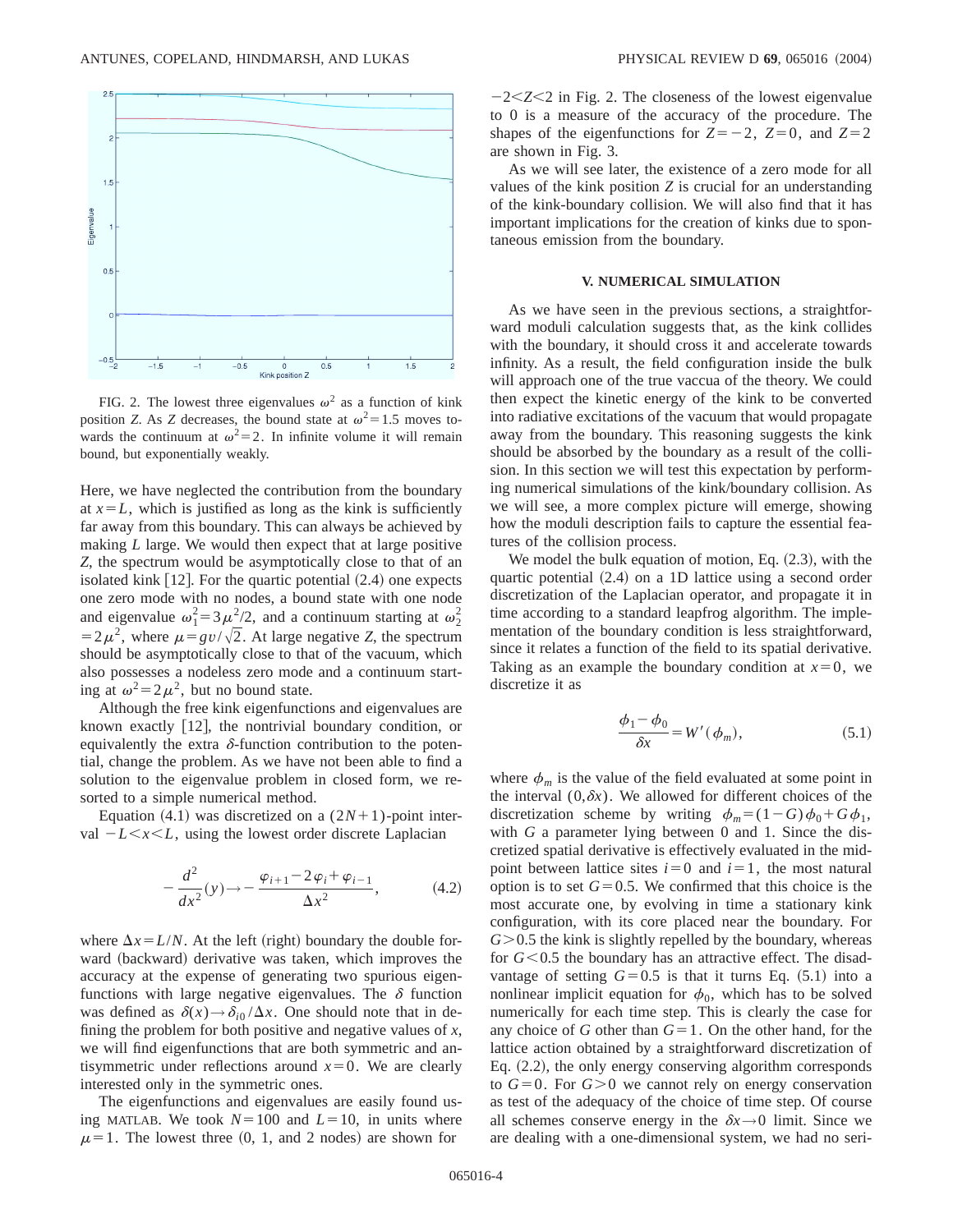

FIG. 2. The lowest three eigenvalues  $\omega^2$  as a function of kink position *Z*. As *Z* decreases, the bound state at  $\omega^2 = 1.5$  moves towards the continuum at  $\omega^2 = 2$ . In infinite volume it will remain bound, but exponentially weakly.

Here, we have neglected the contribution from the boundary at  $x=L$ , which is justified as long as the kink is sufficiently far away from this boundary. This can always be achieved by making *L* large. We would then expect that at large positive *Z*, the spectrum would be asymptotically close to that of an isolated kink  $[12]$ . For the quartic potential  $(2.4)$  one expects one zero mode with no nodes, a bound state with one node and eigenvalue  $\omega_1^2 = 3 \mu_-^2/2$ , and a continuum starting at  $\omega_2^2$  $=2\mu^2$ , where  $\mu = gv/\sqrt{2}$ . At large negative *Z*, the spectrum should be asymptotically close to that of the vacuum, which also possesses a nodeless zero mode and a continuum starting at  $\omega^2 = 2\mu^2$ , but no bound state.

Although the free kink eigenfunctions and eigenvalues are known exactly  $[12]$ , the nontrivial boundary condition, or equivalently the extra  $\delta$ -function contribution to the potential, change the problem. As we have not been able to find a solution to the eigenvalue problem in closed form, we resorted to a simple numerical method.

Equation  $(4.1)$  was discretized on a  $(2N+1)$ -point interval  $-L \le x \le L$ , using the lowest order discrete Laplacian

$$
-\frac{d^2}{dx^2}(y) \rightarrow -\frac{\varphi_{i+1} - 2\varphi_i + \varphi_{i-1}}{\Delta x^2},
$$
\n(4.2)

where  $\Delta x = L/N$ . At the left (right) boundary the double forward (backward) derivative was taken, which improves the accuracy at the expense of generating two spurious eigenfunctions with large negative eigenvalues. The  $\delta$  function was defined as  $\delta(x) \rightarrow \delta_{i0}/\Delta x$ . One should note that in defining the problem for both positive and negative values of *x*, we will find eigenfunctions that are both symmetric and antisymmetric under reflections around  $x=0$ . We are clearly interested only in the symmetric ones.

The eigenfunctions and eigenvalues are easily found using MATLAB. We took  $N=100$  and  $L=10$ , in units where  $\mu=1$ . The lowest three (0, 1, and 2 nodes) are shown for

 $-2 < Z < 2$  in Fig. 2. The closeness of the lowest eigenvalue to 0 is a measure of the accuracy of the procedure. The shapes of the eigenfunctions for  $Z=-2$ ,  $Z=0$ , and  $Z=2$ are shown in Fig. 3.

As we will see later, the existence of a zero mode for all values of the kink position *Z* is crucial for an understanding of the kink-boundary collision. We will also find that it has important implications for the creation of kinks due to spontaneous emission from the boundary.

#### **V. NUMERICAL SIMULATION**

As we have seen in the previous sections, a straightforward moduli calculation suggests that, as the kink collides with the boundary, it should cross it and accelerate towards infinity. As a result, the field configuration inside the bulk will approach one of the true vaccua of the theory. We could then expect the kinetic energy of the kink to be converted into radiative excitations of the vacuum that would propagate away from the boundary. This reasoning suggests the kink should be absorbed by the boundary as a result of the collision. In this section we will test this expectation by performing numerical simulations of the kink/boundary collision. As we will see, a more complex picture will emerge, showing how the moduli description fails to capture the essential features of the collision process.

We model the bulk equation of motion, Eq.  $(2.3)$ , with the quartic potential  $(2.4)$  on a 1D lattice using a second order discretization of the Laplacian operator, and propagate it in time according to a standard leapfrog algorithm. The implementation of the boundary condition is less straightforward, since it relates a function of the field to its spatial derivative. Taking as an example the boundary condition at  $x=0$ , we discretize it as

$$
\frac{\phi_1 - \phi_0}{\delta x} = W'(\phi_m),\tag{5.1}
$$

where  $\phi_m$  is the value of the field evaluated at some point in the interval  $(0, \delta x)$ . We allowed for different choices of the discretization scheme by writing  $\phi_m = (1-G)\phi_0 + G\phi_1$ , with *G* a parameter lying between 0 and 1. Since the discretized spatial derivative is effectively evaluated in the midpoint between lattice sites  $i=0$  and  $i=1$ , the most natural option is to set  $G=0.5$ . We confirmed that this choice is the most accurate one, by evolving in time a stationary kink configuration, with its core placed near the boundary. For  $G$   $>$  0.5 the kink is slightly repelled by the boundary, whereas for  $G \leq 0.5$  the boundary has an attractive effect. The disadvantage of setting  $G=0.5$  is that it turns Eq.  $(5.1)$  into a nonlinear implicit equation for  $\phi_0$ , which has to be solved numerically for each time step. This is clearly the case for any choice of *G* other than  $G=1$ . On the other hand, for the lattice action obtained by a straightforward discretization of Eq.  $(2.2)$ , the only energy conserving algorithm corresponds to  $G=0$ . For  $G>0$  we cannot rely on energy conservation as test of the adequacy of the choice of time step. Of course all schemes conserve energy in the  $\delta x \rightarrow 0$  limit. Since we are dealing with a one-dimensional system, we had no seri-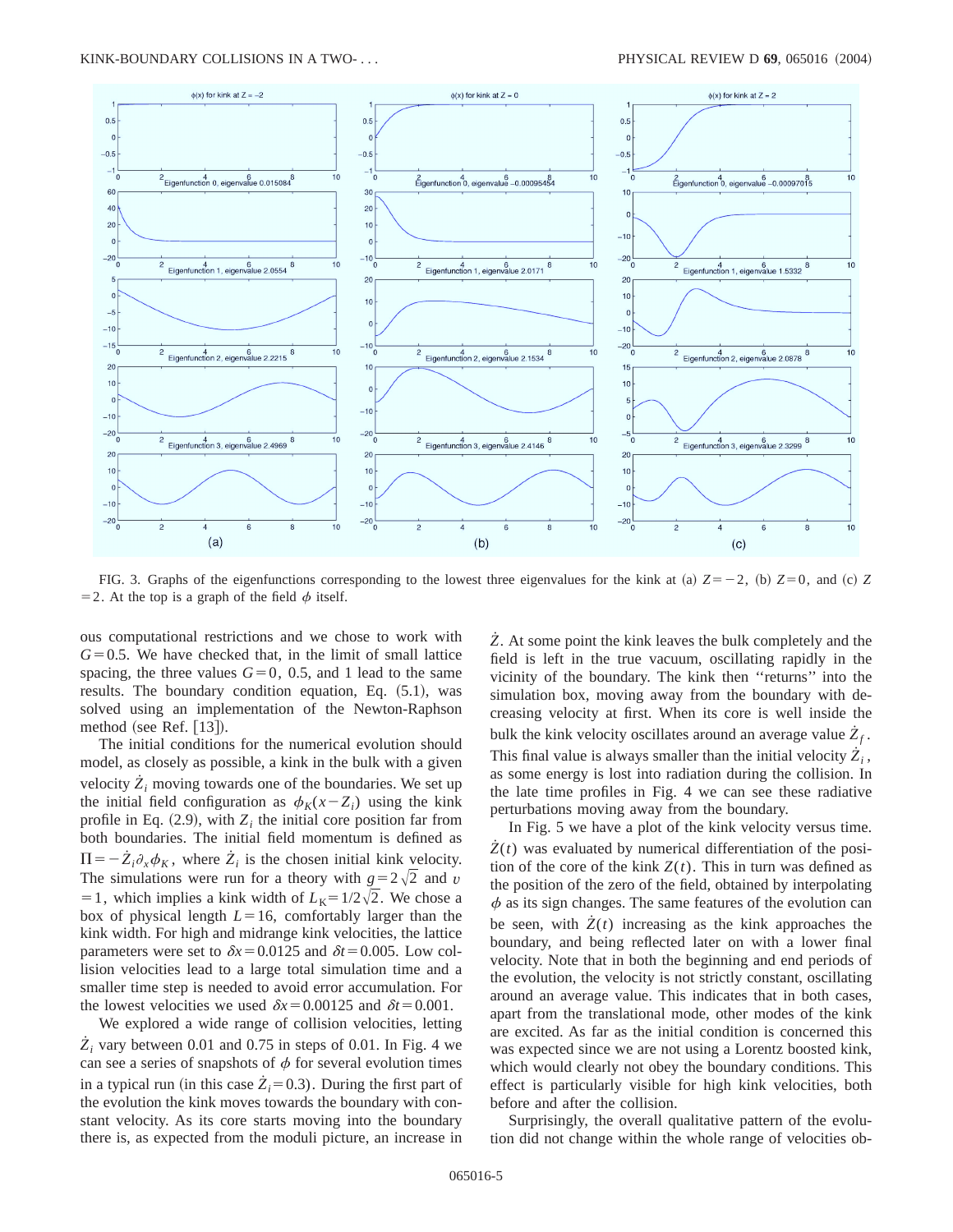

FIG. 3. Graphs of the eigenfunctions corresponding to the lowest three eigenvalues for the kink at (a)  $Z=-2$ , (b)  $Z=0$ , and (c) Z = 2. At the top is a graph of the field  $\phi$  itself.

ous computational restrictions and we chose to work with  $G=0.5$ . We have checked that, in the limit of small lattice spacing, the three values  $G=0$ , 0.5, and 1 lead to the same results. The boundary condition equation, Eq.  $(5.1)$ , was solved using an implementation of the Newton-Raphson method (see Ref.  $[13]$ ).

The initial conditions for the numerical evolution should model, as closely as possible, a kink in the bulk with a given velocity  $\dot{Z}_i$  moving towards one of the boundaries. We set up the initial field configuration as  $\phi_K(x-Z_i)$  using the kink profile in Eq.  $(2.9)$ , with  $Z_i$  the initial core position far from both boundaries. The initial field momentum is defined as  $\Pi = -\dot{Z}_i \partial_x \phi_K$ , where  $\dot{Z}_i$  is the chosen initial kink velocity. The simulations were run for a theory with  $g=2\sqrt{2}$  and *v* = 1, which implies a kink width of  $L_K = 1/2\sqrt{2}$ . We chose a box of physical length  $L=16$ , comfortably larger than the kink width. For high and midrange kink velocities, the lattice parameters were set to  $\delta x = 0.0125$  and  $\delta t = 0.005$ . Low collision velocities lead to a large total simulation time and a smaller time step is needed to avoid error accumulation. For the lowest velocities we used  $\delta x = 0.00125$  and  $\delta t = 0.001$ .

We explored a wide range of collision velocities, letting  $\dot{Z}_i$  vary between 0.01 and 0.75 in steps of 0.01. In Fig. 4 we can see a series of snapshots of  $\phi$  for several evolution times in a typical run (in this case  $\dot{Z}_i = 0.3$ ). During the first part of the evolution the kink moves towards the boundary with constant velocity. As its core starts moving into the boundary there is, as expected from the moduli picture, an increase in *Z˙* . At some point the kink leaves the bulk completely and the field is left in the true vacuum, oscillating rapidly in the vicinity of the boundary. The kink then ''returns'' into the simulation box, moving away from the boundary with decreasing velocity at first. When its core is well inside the bulk the kink velocity oscillates around an average value  $\dot{Z}_f$ . This final value is always smaller than the initial velocity  $\dot{Z}_i$ , as some energy is lost into radiation during the collision. In the late time profiles in Fig. 4 we can see these radiative perturbations moving away from the boundary.

In Fig. 5 we have a plot of the kink velocity versus time.  $\dot{Z}(t)$  was evaluated by numerical differentiation of the position of the core of the kink  $Z(t)$ . This in turn was defined as the position of the zero of the field, obtained by interpolating  $\phi$  as its sign changes. The same features of the evolution can be seen, with  $\dot{Z}(t)$  increasing as the kink approaches the boundary, and being reflected later on with a lower final velocity. Note that in both the beginning and end periods of the evolution, the velocity is not strictly constant, oscillating around an average value. This indicates that in both cases, apart from the translational mode, other modes of the kink are excited. As far as the initial condition is concerned this was expected since we are not using a Lorentz boosted kink, which would clearly not obey the boundary conditions. This effect is particularly visible for high kink velocities, both before and after the collision.

Surprisingly, the overall qualitative pattern of the evolution did not change within the whole range of velocities ob-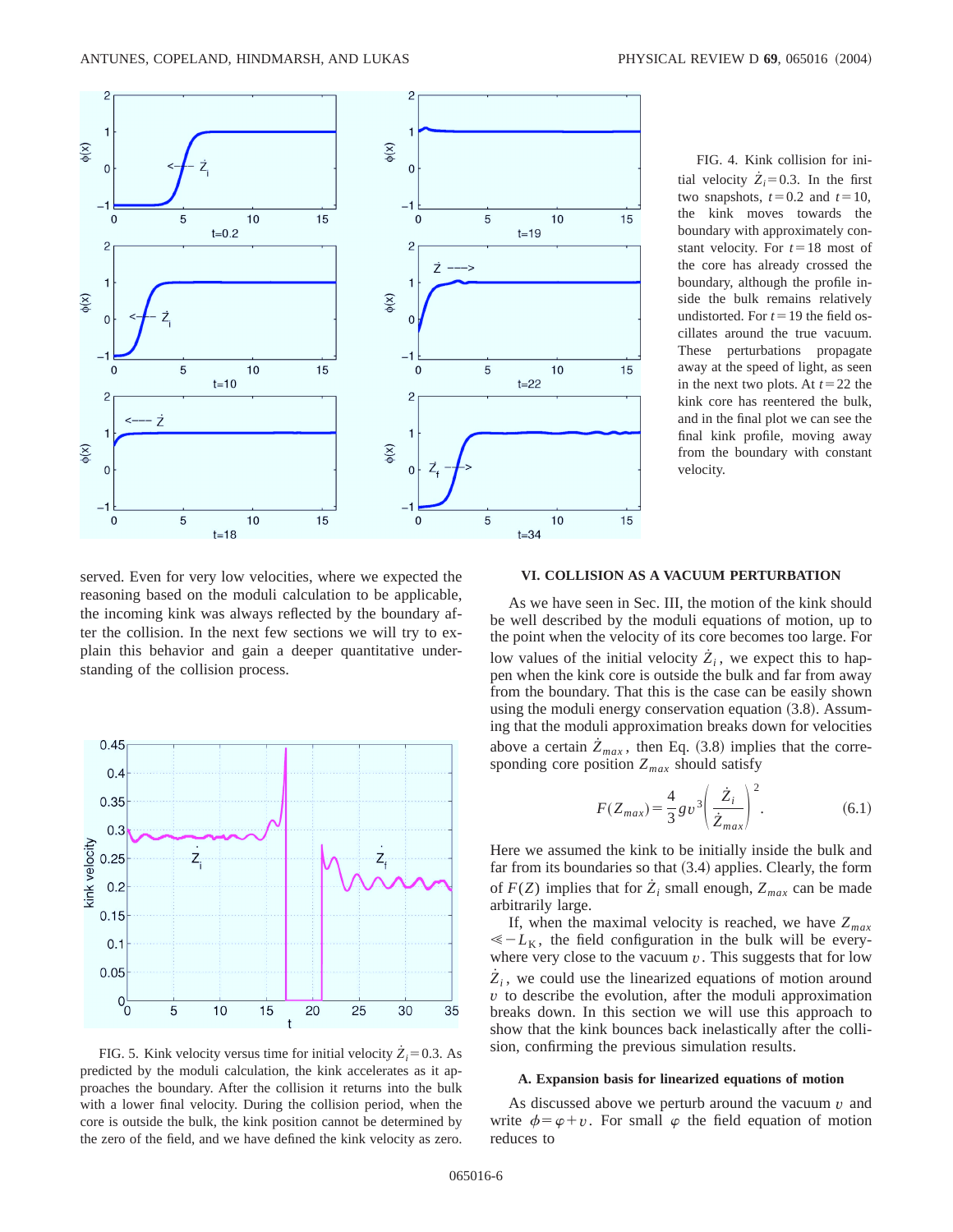

FIG. 4. Kink collision for initial velocity  $\dot{Z}_i = 0.3$ . In the first two snapshots,  $t=0.2$  and  $t=10$ , the kink moves towards the boundary with approximately constant velocity. For  $t=18$  most of the core has already crossed the boundary, although the profile inside the bulk remains relatively undistorted. For  $t=19$  the field oscillates around the true vacuum. These perturbations propagate away at the speed of light, as seen in the next two plots. At  $t=22$  the kink core has reentered the bulk, and in the final plot we can see the final kink profile, moving away from the boundary with constant velocity.

served. Even for very low velocities, where we expected the reasoning based on the moduli calculation to be applicable, the incoming kink was always reflected by the boundary after the collision. In the next few sections we will try to explain this behavior and gain a deeper quantitative understanding of the collision process.



FIG. 5. Kink velocity versus time for initial velocity  $\dot{Z}_i = 0.3$ . As predicted by the moduli calculation, the kink accelerates as it approaches the boundary. After the collision it returns into the bulk with a lower final velocity. During the collision period, when the core is outside the bulk, the kink position cannot be determined by the zero of the field, and we have defined the kink velocity as zero.

#### **VI. COLLISION AS A VACUUM PERTURBATION**

As we have seen in Sec. III, the motion of the kink should be well described by the moduli equations of motion, up to the point when the velocity of its core becomes too large. For low values of the initial velocity  $\dot{Z}_i$ , we expect this to happen when the kink core is outside the bulk and far from away from the boundary. That this is the case can be easily shown using the moduli energy conservation equation  $(3.8)$ . Assuming that the moduli approximation breaks down for velocities above a certain  $\dot{Z}_{max}$ , then Eq. (3.8) implies that the corresponding core position *Zmax* should satisfy

$$
F(Z_{max}) = \frac{4}{3} g v^3 \left(\frac{\dot{Z}_i}{\dot{Z}_{max}}\right)^2.
$$
 (6.1)

Here we assumed the kink to be initially inside the bulk and far from its boundaries so that  $(3.4)$  applies. Clearly, the form of  $F(Z)$  implies that for  $\dot{Z}_i$  small enough,  $Z_{max}$  can be made arbitrarily large.

If, when the maximal velocity is reached, we have *Zmax*  $\ll -L_K$ , the field configuration in the bulk will be everywhere very close to the vacuum *v*. This suggests that for low  $\dot{Z}_i$ , we could use the linearized equations of motion around  $\nu$  to describe the evolution, after the moduli approximation breaks down. In this section we will use this approach to show that the kink bounces back inelastically after the collision, confirming the previous simulation results.

#### **A. Expansion basis for linearized equations of motion**

As discussed above we perturb around the vacuum *v* and write  $\phi = \varphi + v$ . For small  $\varphi$  the field equation of motion reduces to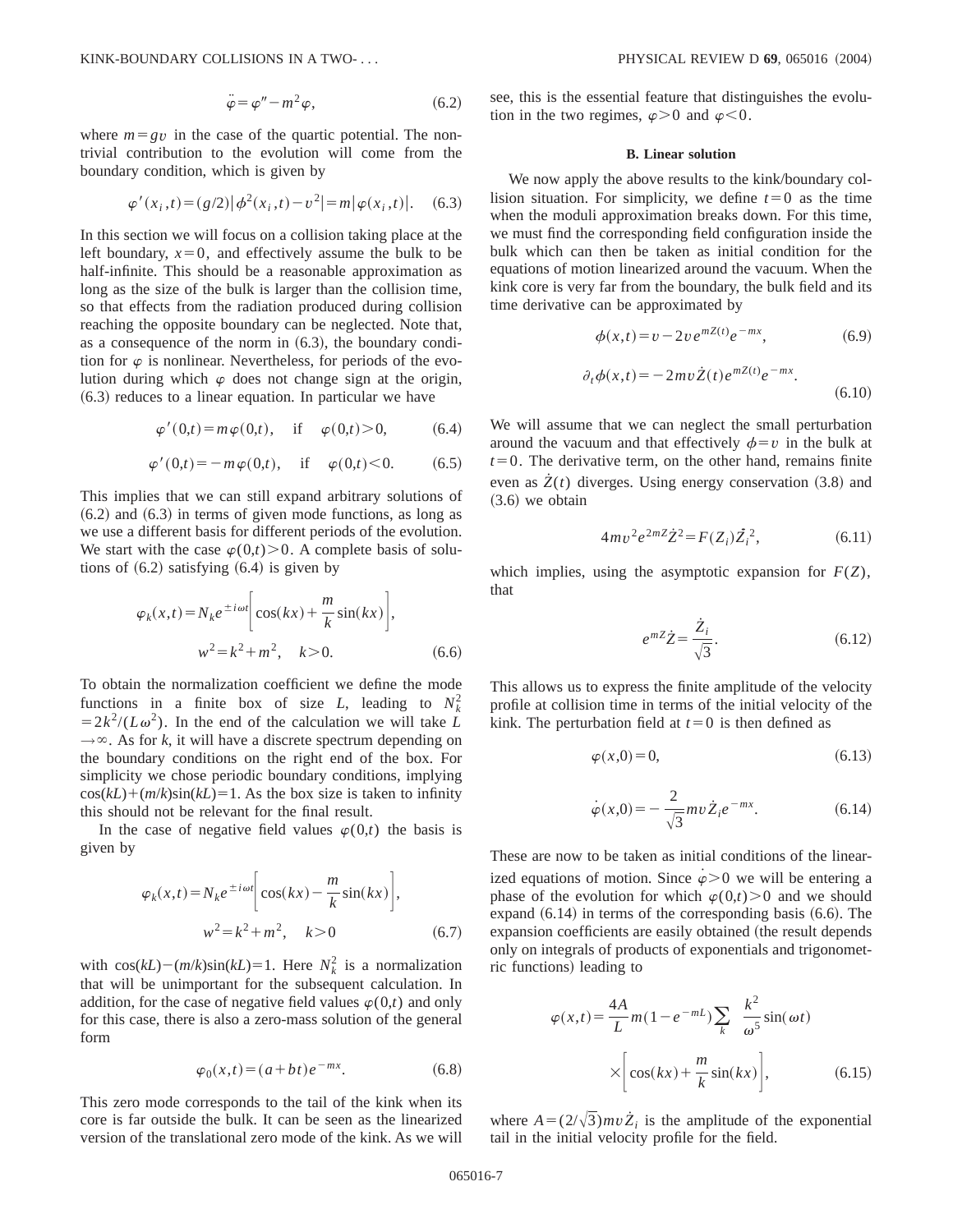$$
\ddot{\varphi} = \varphi'' - m^2 \varphi, \tag{6.2}
$$

where  $m = gv$  in the case of the quartic potential. The nontrivial contribution to the evolution will come from the boundary condition, which is given by

$$
\varphi'(x_i, t) = (g/2) |\phi^2(x_i, t) - v^2| = m |\varphi(x_i, t)|. \quad (6.3)
$$

In this section we will focus on a collision taking place at the left boundary,  $x=0$ , and effectively assume the bulk to be half-infinite. This should be a reasonable approximation as long as the size of the bulk is larger than the collision time, so that effects from the radiation produced during collision reaching the opposite boundary can be neglected. Note that, as a consequence of the norm in  $(6.3)$ , the boundary condition for  $\varphi$  is nonlinear. Nevertheless, for periods of the evolution during which  $\varphi$  does not change sign at the origin,  $(6.3)$  reduces to a linear equation. In particular we have

$$
\varphi'(0,t) = m\varphi(0,t), \quad \text{if} \quad \varphi(0,t) > 0,
$$
 (6.4)

$$
\varphi'(0,t) = -m\varphi(0,t), \quad \text{if} \quad \varphi(0,t) < 0. \tag{6.5}
$$

This implies that we can still expand arbitrary solutions of  $(6.2)$  and  $(6.3)$  in terms of given mode functions, as long as we use a different basis for different periods of the evolution. We start with the case  $\varphi(0,t) > 0$ . A complete basis of solutions of  $(6.2)$  satisfying  $(6.4)$  is given by

$$
\varphi_k(x,t) = N_k e^{\pm i\omega t} \bigg[ \cos(kx) + \frac{m}{k} \sin(kx) \bigg],
$$
  

$$
w^2 = k^2 + m^2, \quad k > 0.
$$
 (6.6)

To obtain the normalization coefficient we define the mode functions in a finite box of size *L*, leading to  $N_k^2$  $=2k^2/(L\omega^2)$ . In the end of the calculation we will take *L*  $\rightarrow \infty$ . As for *k*, it will have a discrete spectrum depending on the boundary conditions on the right end of the box. For simplicity we chose periodic boundary conditions, implying  $cos(kL)+(m/k)sin(kL)=1$ . As the box size is taken to infinity this should not be relevant for the final result.

In the case of negative field values  $\varphi(0,t)$  the basis is given by

$$
\varphi_k(x,t) = N_k e^{\pm i\omega t} \left[ \cos(kx) - \frac{m}{k} \sin(kx) \right],
$$
  

$$
w^2 = k^2 + m^2, \quad k > 0
$$
 (6.7)

with  $cos(kL) - (m/k)sin(kL) = 1$ . Here  $N_k^2$  is a normalization that will be unimportant for the subsequent calculation. In addition, for the case of negative field values  $\varphi(0,t)$  and only for this case, there is also a zero-mass solution of the general form

$$
\varphi_0(x,t) = (a+bt)e^{-mx}.
$$
 (6.8)

This zero mode corresponds to the tail of the kink when its core is far outside the bulk. It can be seen as the linearized version of the translational zero mode of the kink. As we will see, this is the essential feature that distinguishes the evolution in the two regimes,  $\varphi > 0$  and  $\varphi < 0$ .

#### **B. Linear solution**

We now apply the above results to the kink/boundary collision situation. For simplicity, we define  $t=0$  as the time when the moduli approximation breaks down. For this time, we must find the corresponding field configuration inside the bulk which can then be taken as initial condition for the equations of motion linearized around the vacuum. When the kink core is very far from the boundary, the bulk field and its time derivative can be approximated by

$$
\phi(x,t) = v - 2v e^{mZ(t)} e^{-mx},
$$
\n(6.9)  
\n
$$
\partial_t \phi(x,t) = -2mv \dot{Z}(t) e^{mZ(t)} e^{-mx}.
$$
\n(6.10)

We will assume that we can neglect the small perturbation around the vacuum and that effectively  $\phi = v$  in the bulk at  $t=0$ . The derivative term, on the other hand, remains finite even as  $\dot{Z}(t)$  diverges. Using energy conservation  $(3.8)$  and  $(3.6)$  we obtain

$$
4mv^2e^{2mZ}\dot{Z}^2 = F(Z_i)\dot{Z}_i^2,\tag{6.11}
$$

which implies, using the asymptotic expansion for  $F(Z)$ , that

$$
e^{mZ}\dot{Z} = \frac{\dot{Z}_i}{\sqrt{3}}.\tag{6.12}
$$

This allows us to express the finite amplitude of the velocity profile at collision time in terms of the initial velocity of the kink. The perturbation field at  $t=0$  is then defined as

$$
\varphi(x,0) = 0,\tag{6.13}
$$

$$
\dot{\varphi}(x,0) = -\frac{2}{\sqrt{3}}mv\dot{Z}_i e^{-mx}.
$$
\n(6.14)

These are now to be taken as initial conditions of the linearized equations of motion. Since  $\varphi > 0$  we will be entering a phase of the evolution for which  $\varphi(0,t)$ . and we should expand  $(6.14)$  in terms of the corresponding basis  $(6.6)$ . The expansion coefficients are easily obtained (the result depends only on integrals of products of exponentials and trigonometric functions) leading to

$$
\varphi(x,t) = \frac{4A}{L} m(1 - e^{-mL}) \sum_{k} \frac{k^2}{\omega^5} \sin(\omega t)
$$

$$
\times \left[ \cos(kx) + \frac{m}{k} \sin(kx) \right], \tag{6.15}
$$

where  $A=(2/\sqrt{3})mv\dot{Z}_i$  is the amplitude of the exponential tail in the initial velocity profile for the field.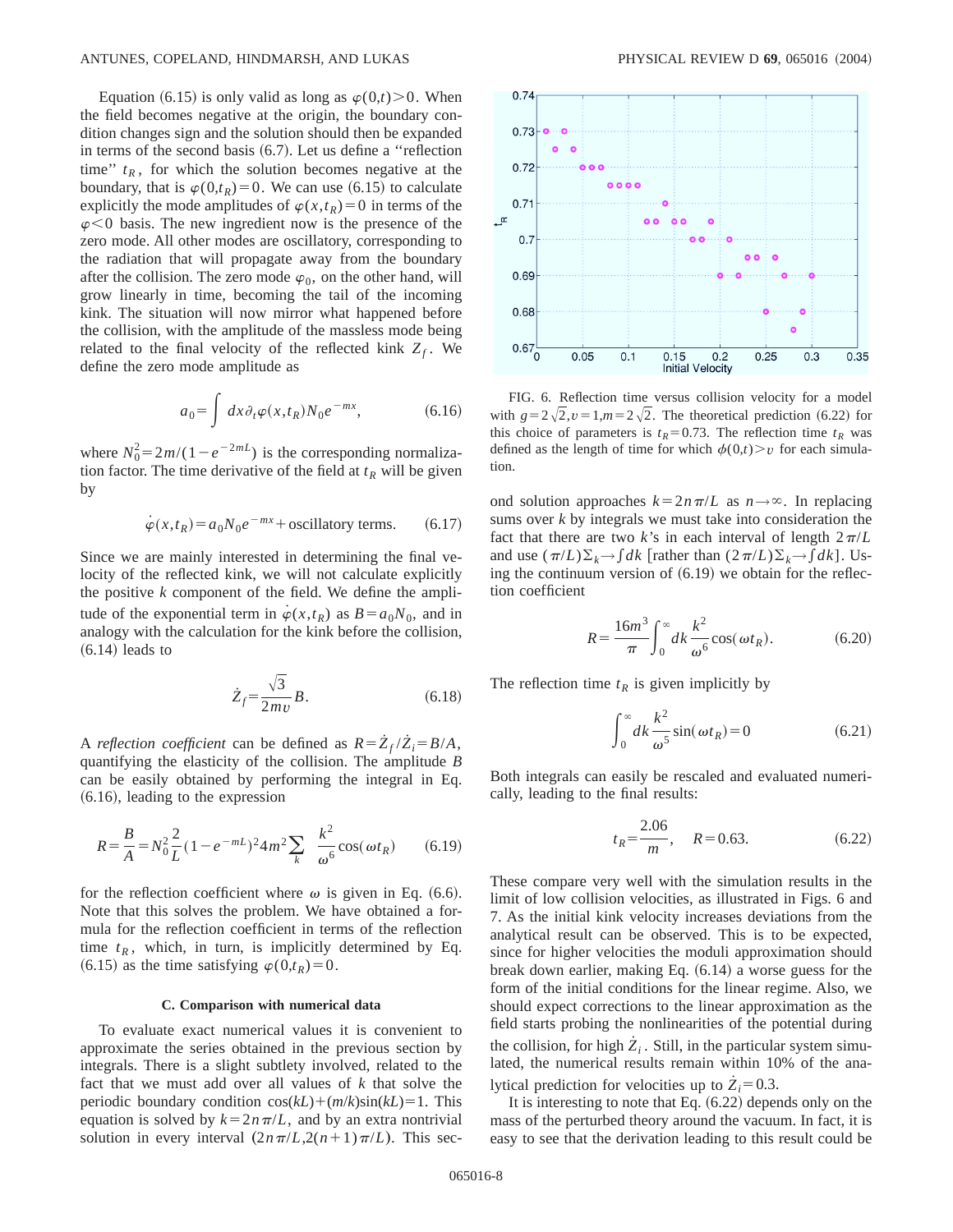Equation (6.15) is only valid as long as  $\varphi(0,t) > 0$ . When the field becomes negative at the origin, the boundary condition changes sign and the solution should then be expanded in terms of the second basis  $(6.7)$ . Let us define a "reflection" time"  $t_R$ , for which the solution becomes negative at the boundary, that is  $\varphi(0,t_R)=0$ . We can use (6.15) to calculate explicitly the mode amplitudes of  $\varphi(x,t_R)=0$  in terms of the  $\varphi$ <0 basis. The new ingredient now is the presence of the zero mode. All other modes are oscillatory, corresponding to the radiation that will propagate away from the boundary after the collision. The zero mode  $\varphi_0$ , on the other hand, will grow linearly in time, becoming the tail of the incoming kink. The situation will now mirror what happened before the collision, with the amplitude of the massless mode being related to the final velocity of the reflected kink  $Z_f$ . We define the zero mode amplitude as

$$
a_0 = \int dx \partial_t \varphi(x, t_R) N_0 e^{-mx}, \qquad (6.16)
$$

where  $N_0^2 = 2m/(1-e^{-2mL})$  is the corresponding normalization factor. The time derivative of the field at  $t_R$  will be given by

$$
\dot{\varphi}(x, t_R) = a_0 N_0 e^{-mx} + \text{oscillatory terms.} \qquad (6.17)
$$

Since we are mainly interested in determining the final velocity of the reflected kink, we will not calculate explicitly the positive *k* component of the field. We define the amplitude of the exponential term in  $\varphi(x, t_R)$  as  $B = a_0 N_0$ , and in analogy with the calculation for the kink before the collision,  $(6.14)$  leads to

$$
\dot{Z}_f = \frac{\sqrt{3}}{2mv}B.\tag{6.18}
$$

A *reflection coefficient* can be defined as  $R = \dot{Z}_f / \dot{Z}_i = B/A$ , quantifying the elasticity of the collision. The amplitude *B* can be easily obtained by performing the integral in Eq.  $(6.16)$ , leading to the expression

$$
R = \frac{B}{A} = N_0^2 \frac{2}{L} (1 - e^{-mL})^2 4m^2 \sum_{k} \frac{k^2}{\omega^6} \cos(\omega t_R)
$$
 (6.19)

for the reflection coefficient where  $\omega$  is given in Eq. (6.6). Note that this solves the problem. We have obtained a formula for the reflection coefficient in terms of the reflection time  $t_R$ , which, in turn, is implicitly determined by Eq.  $(6.15)$  as the time satisfying  $\varphi(0,t_R)=0$ .

#### **C. Comparison with numerical data**

To evaluate exact numerical values it is convenient to approximate the series obtained in the previous section by integrals. There is a slight subtlety involved, related to the fact that we must add over all values of *k* that solve the periodic boundary condition  $cos(kL)+(m/k)sin(kL)=1$ . This equation is solved by  $k=2n\pi/L$ , and by an extra nontrivial solution in every interval  $(2n\pi/L,2(n+1)\pi/L)$ . This sec-



FIG. 6. Reflection time versus collision velocity for a model with  $g=2\sqrt{2}$ ,  $v=1,m=2\sqrt{2}$ . The theoretical prediction (6.22) for this choice of parameters is  $t_R$ =0.73. The reflection time  $t_R$  was defined as the length of time for which  $\phi(0,t)$ .*v* for each simulation.

ond solution approaches  $k=2n\pi/L$  as  $n\rightarrow\infty$ . In replacing sums over *k* by integrals we must take into consideration the fact that there are two *k*'s in each interval of length  $2\pi/L$ and use  $(\pi/L)\Sigma_k \rightarrow \int dk$  [rather than  $(2\pi/L)\Sigma_k \rightarrow \int dk$ ]. Using the continuum version of  $(6.19)$  we obtain for the reflection coefficient

$$
R = \frac{16m^3}{\pi} \int_0^\infty dk \frac{k^2}{\omega^6} \cos(\omega t_R). \tag{6.20}
$$

The reflection time  $t_R$  is given implicitly by

$$
\int_0^\infty dk \frac{k^2}{\omega^5} \sin(\omega t_R) = 0 \tag{6.21}
$$

Both integrals can easily be rescaled and evaluated numerically, leading to the final results:

$$
t_R = \frac{2.06}{m}, \quad R = 0.63. \tag{6.22}
$$

These compare very well with the simulation results in the limit of low collision velocities, as illustrated in Figs. 6 and 7. As the initial kink velocity increases deviations from the analytical result can be observed. This is to be expected, since for higher velocities the moduli approximation should break down earlier, making Eq.  $(6.14)$  a worse guess for the form of the initial conditions for the linear regime. Also, we should expect corrections to the linear approximation as the field starts probing the nonlinearities of the potential during the collision, for high  $\dot{Z}_i$ . Still, in the particular system simulated, the numerical results remain within 10% of the analytical prediction for velocities up to  $\dot{Z}_i = 0.3$ .

It is interesting to note that Eq.  $(6.22)$  depends only on the mass of the perturbed theory around the vacuum. In fact, it is easy to see that the derivation leading to this result could be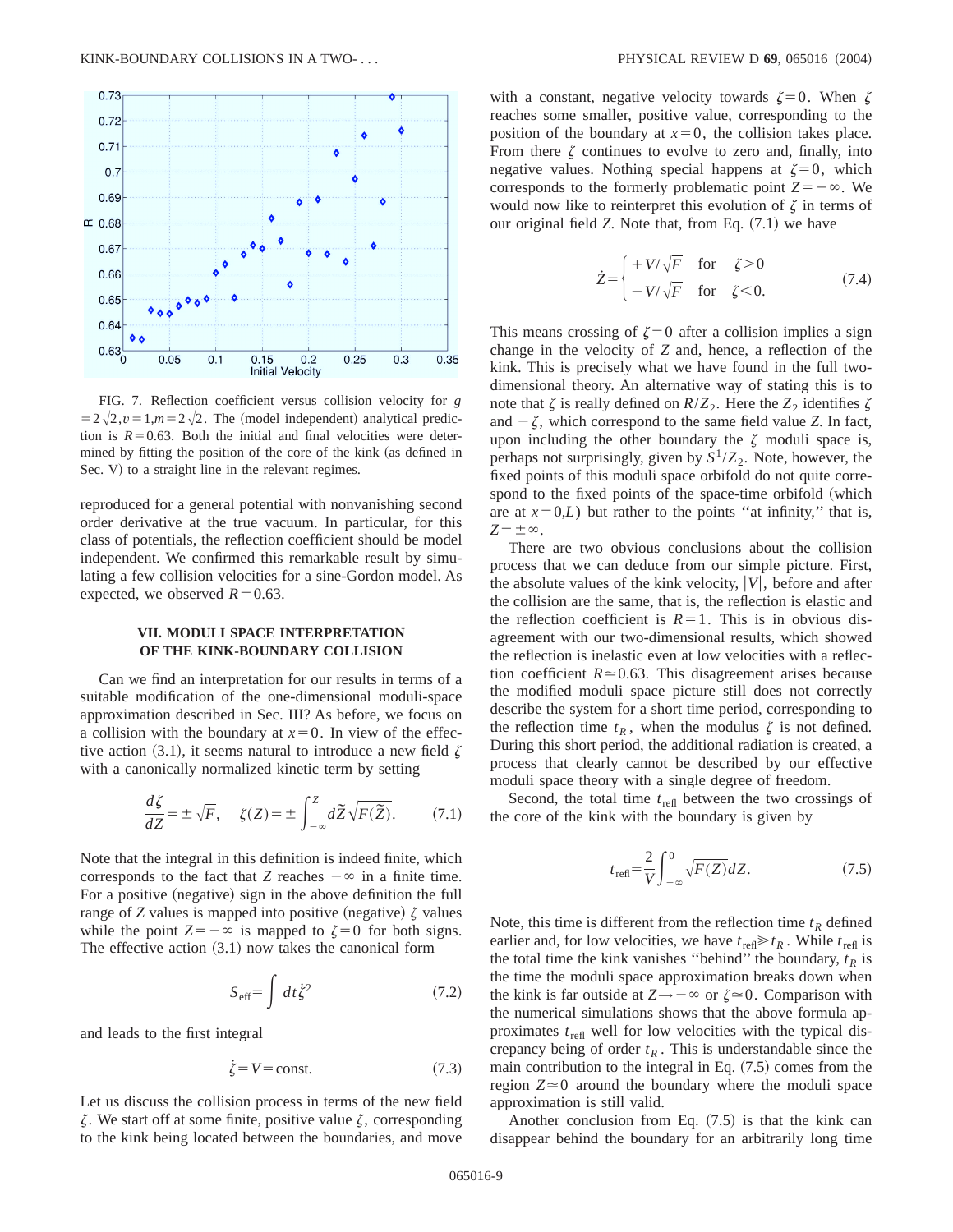

FIG. 7. Reflection coefficient versus collision velocity for *g*  $=2\sqrt{2}, v=1, m=2\sqrt{2}$ . The (model independent) analytical prediction is  $R=0.63$ . Both the initial and final velocities were determined by fitting the position of the core of the kink (as defined in Sec. V) to a straight line in the relevant regimes.

reproduced for a general potential with nonvanishing second order derivative at the true vacuum. In particular, for this class of potentials, the reflection coefficient should be model independent. We confirmed this remarkable result by simulating a few collision velocities for a sine-Gordon model. As expected, we observed  $R=0.63$ .

#### **VII. MODULI SPACE INTERPRETATION OF THE KINK-BOUNDARY COLLISION**

Can we find an interpretation for our results in terms of a suitable modification of the one-dimensional moduli-space approximation described in Sec. III? As before, we focus on a collision with the boundary at  $x=0$ . In view of the effective action (3.1), it seems natural to introduce a new field  $\zeta$ with a canonically normalized kinetic term by setting

$$
\frac{d\zeta}{dZ} = \pm \sqrt{F}, \quad \zeta(Z) = \pm \int_{-\infty}^{Z} d\widetilde{Z} \sqrt{F(\widetilde{Z})}. \tag{7.1}
$$

Note that the integral in this definition is indeed finite, which corresponds to the fact that *Z* reaches  $-\infty$  in a finite time. For a positive (negative) sign in the above definition the full range of  $Z$  values is mapped into positive (negative)  $\zeta$  values while the point  $Z=-\infty$  is mapped to  $\zeta=0$  for both signs. The effective action  $(3.1)$  now takes the canonical form

$$
S_{\rm eff} = \int dt \dot{\zeta}^2 \tag{7.2}
$$

and leads to the first integral

$$
\dot{\zeta} = V = \text{const.}\tag{7.3}
$$

Let us discuss the collision process in terms of the new field  $\zeta$ . We start off at some finite, positive value  $\zeta$ , corresponding to the kink being located between the boundaries, and move with a constant, negative velocity towards  $\zeta=0$ . When  $\zeta$ reaches some smaller, positive value, corresponding to the position of the boundary at  $x=0$ , the collision takes place. From there  $\zeta$  continues to evolve to zero and, finally, into negative values. Nothing special happens at  $\zeta=0$ , which corresponds to the formerly problematic point  $Z=-\infty$ . We would now like to reinterpret this evolution of  $\zeta$  in terms of our original field  $Z$ . Note that, from Eq.  $(7.1)$  we have

$$
\dot{Z} = \begin{cases}\n+V/\sqrt{F} & \text{for } \zeta > 0 \\
-V/\sqrt{F} & \text{for } \zeta < 0.\n\end{cases}
$$
\n(7.4)

This means crossing of  $\zeta=0$  after a collision implies a sign change in the velocity of *Z* and, hence, a reflection of the kink. This is precisely what we have found in the full twodimensional theory. An alternative way of stating this is to note that  $\zeta$  is really defined on  $R/Z_2$ . Here the  $Z_2$  identifies  $\zeta$ and  $-\zeta$ , which correspond to the same field value *Z*. In fact, upon including the other boundary the  $\zeta$  moduli space is, perhaps not surprisingly, given by  $S^1/Z_2$ . Note, however, the fixed points of this moduli space orbifold do not quite correspond to the fixed points of the space-time orbifold (which are at  $x=0,L$ ) but rather to the points "at infinity," that is,  $Z = \pm \infty$ .

There are two obvious conclusions about the collision process that we can deduce from our simple picture. First, the absolute values of the kink velocity,  $|V|$ , before and after the collision are the same, that is, the reflection is elastic and the reflection coefficient is  $R=1$ . This is in obvious disagreement with our two-dimensional results, which showed the reflection is inelastic even at low velocities with a reflection coefficient  $R \approx 0.63$ . This disagreement arises because the modified moduli space picture still does not correctly describe the system for a short time period, corresponding to the reflection time  $t_R$ , when the modulus  $\zeta$  is not defined. During this short period, the additional radiation is created, a process that clearly cannot be described by our effective moduli space theory with a single degree of freedom.

Second, the total time  $t_{\text{refl}}$  between the two crossings of the core of the kink with the boundary is given by

$$
t_{\text{refl}} = \frac{2}{V} \int_{-\infty}^{0} \sqrt{F(Z)} dZ. \tag{7.5}
$$

Note, this time is different from the reflection time  $t_R$  defined earlier and, for low velocities, we have  $t_{\text{refl}} \geq t_R$ . While  $t_{\text{refl}}$  is the total time the kink vanishes "behind" the boundary,  $t<sub>R</sub>$  is the time the moduli space approximation breaks down when the kink is far outside at  $Z \rightarrow -\infty$  or  $\zeta \approx 0$ . Comparison with the numerical simulations shows that the above formula approximates *t* refl well for low velocities with the typical discrepancy being of order  $t_R$ . This is understandable since the main contribution to the integral in Eq.  $(7.5)$  comes from the region  $Z \approx 0$  around the boundary where the moduli space approximation is still valid.

Another conclusion from Eq.  $(7.5)$  is that the kink can disappear behind the boundary for an arbitrarily long time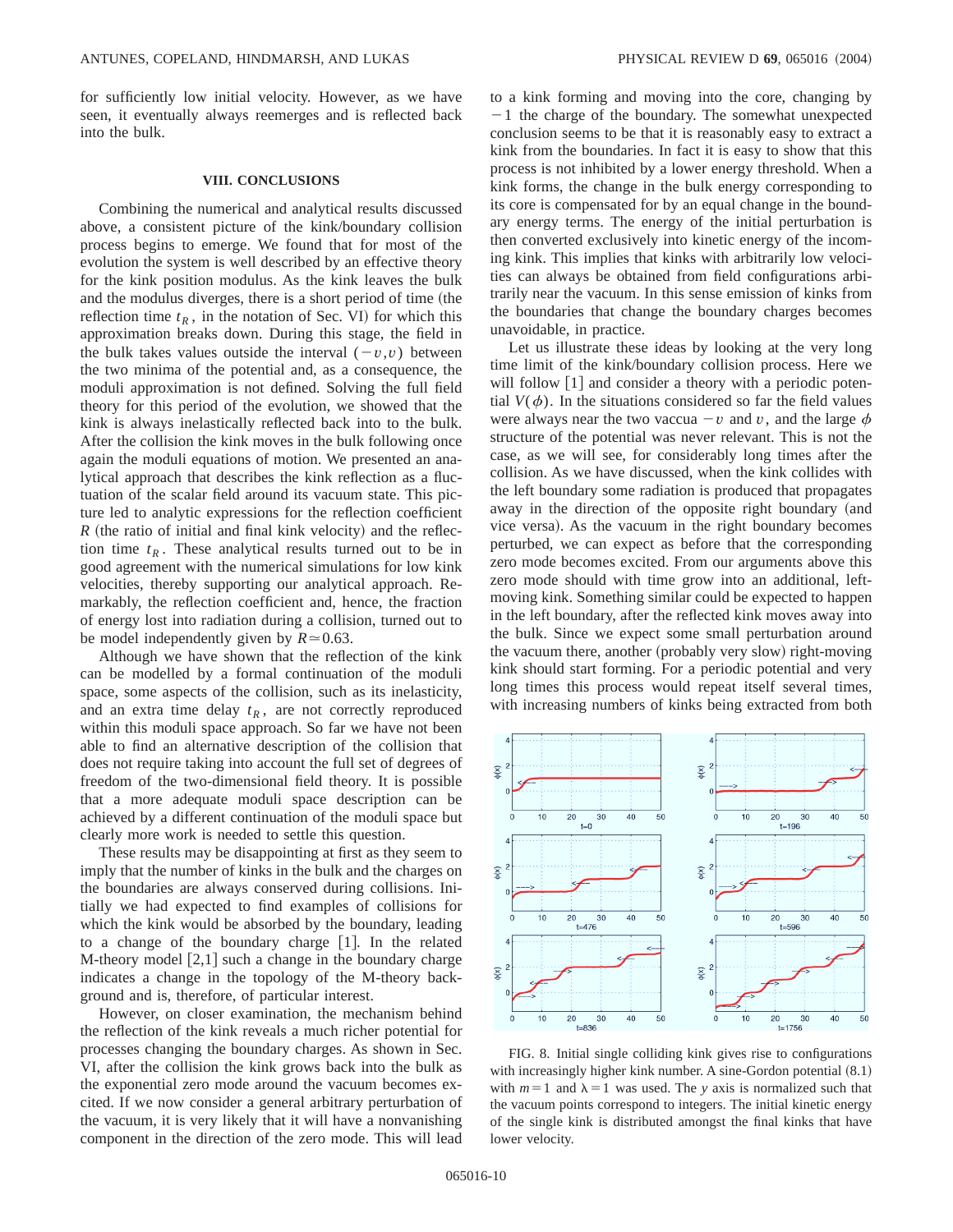for sufficiently low initial velocity. However, as we have seen, it eventually always reemerges and is reflected back into the bulk.

#### **VIII. CONCLUSIONS**

Combining the numerical and analytical results discussed above, a consistent picture of the kink/boundary collision process begins to emerge. We found that for most of the evolution the system is well described by an effective theory for the kink position modulus. As the kink leaves the bulk and the modulus diverges, there is a short period of time (the reflection time  $t_R$ , in the notation of Sec. VI) for which this approximation breaks down. During this stage, the field in the bulk takes values outside the interval  $(-v,v)$  between the two minima of the potential and, as a consequence, the moduli approximation is not defined. Solving the full field theory for this period of the evolution, we showed that the kink is always inelastically reflected back into to the bulk. After the collision the kink moves in the bulk following once again the moduli equations of motion. We presented an analytical approach that describes the kink reflection as a fluctuation of the scalar field around its vacuum state. This picture led to analytic expressions for the reflection coefficient  $R$  (the ratio of initial and final kink velocity) and the reflection time  $t_R$ . These analytical results turned out to be in good agreement with the numerical simulations for low kink velocities, thereby supporting our analytical approach. Remarkably, the reflection coefficient and, hence, the fraction of energy lost into radiation during a collision, turned out to be model independently given by  $R \approx 0.63$ .

Although we have shown that the reflection of the kink can be modelled by a formal continuation of the moduli space, some aspects of the collision, such as its inelasticity, and an extra time delay  $t_R$ , are not correctly reproduced within this moduli space approach. So far we have not been able to find an alternative description of the collision that does not require taking into account the full set of degrees of freedom of the two-dimensional field theory. It is possible that a more adequate moduli space description can be achieved by a different continuation of the moduli space but clearly more work is needed to settle this question.

These results may be disappointing at first as they seem to imply that the number of kinks in the bulk and the charges on the boundaries are always conserved during collisions. Initially we had expected to find examples of collisions for which the kink would be absorbed by the boundary, leading to a change of the boundary charge  $[1]$ . In the related M-theory model  $[2,1]$  such a change in the boundary charge indicates a change in the topology of the M-theory background and is, therefore, of particular interest.

However, on closer examination, the mechanism behind the reflection of the kink reveals a much richer potential for processes changing the boundary charges. As shown in Sec. VI, after the collision the kink grows back into the bulk as the exponential zero mode around the vacuum becomes excited. If we now consider a general arbitrary perturbation of the vacuum, it is very likely that it will have a nonvanishing component in the direction of the zero mode. This will lead

to a kink forming and moving into the core, changing by  $-1$  the charge of the boundary. The somewhat unexpected conclusion seems to be that it is reasonably easy to extract a kink from the boundaries. In fact it is easy to show that this process is not inhibited by a lower energy threshold. When a kink forms, the change in the bulk energy corresponding to its core is compensated for by an equal change in the boundary energy terms. The energy of the initial perturbation is then converted exclusively into kinetic energy of the incoming kink. This implies that kinks with arbitrarily low velocities can always be obtained from field configurations arbitrarily near the vacuum. In this sense emission of kinks from the boundaries that change the boundary charges becomes unavoidable, in practice.

Let us illustrate these ideas by looking at the very long time limit of the kink/boundary collision process. Here we will follow  $[1]$  and consider a theory with a periodic potential  $V(\phi)$ . In the situations considered so far the field values were always near the two vaccua  $-v$  and *v*, and the large  $\phi$ structure of the potential was never relevant. This is not the case, as we will see, for considerably long times after the collision. As we have discussed, when the kink collides with the left boundary some radiation is produced that propagates away in the direction of the opposite right boundary (and vice versa). As the vacuum in the right boundary becomes perturbed, we can expect as before that the corresponding zero mode becomes excited. From our arguments above this zero mode should with time grow into an additional, leftmoving kink. Something similar could be expected to happen in the left boundary, after the reflected kink moves away into the bulk. Since we expect some small perturbation around the vacuum there, another (probably very slow) right-moving kink should start forming. For a periodic potential and very long times this process would repeat itself several times, with increasing numbers of kinks being extracted from both



FIG. 8. Initial single colliding kink gives rise to configurations with increasingly higher kink number. A sine-Gordon potential  $(8.1)$ with  $m=1$  and  $\lambda=1$  was used. The *y* axis is normalized such that the vacuum points correspond to integers. The initial kinetic energy of the single kink is distributed amongst the final kinks that have lower velocity.